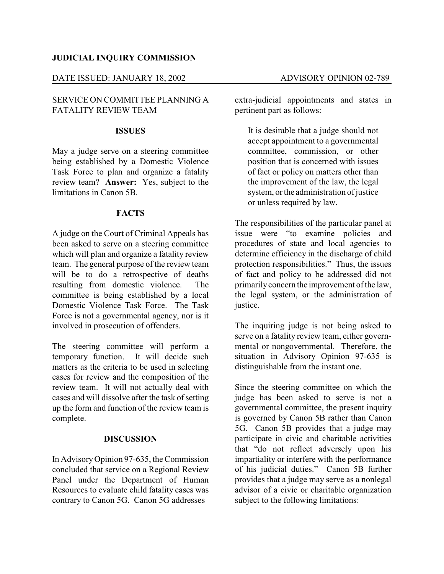### **JUDICIAL INQUIRY COMMISSION**

### DATE ISSUED: JANUARY 18, 2002 ADVISORY OPINION 02-789

## SERVICE ON COMMITTEE PLANNING A FATALITY REVIEW TEAM

#### **ISSUES**

May a judge serve on a steering committee being established by a Domestic Violence Task Force to plan and organize a fatality review team? **Answer:** Yes, subject to the limitations in Canon 5B.

#### **FACTS**

A judge on the Court of Criminal Appeals has been asked to serve on a steering committee which will plan and organize a fatality review team. The general purpose of the review team will be to do a retrospective of deaths resulting from domestic violence. The committee is being established by a local Domestic Violence Task Force. The Task Force is not a governmental agency, nor is it involved in prosecution of offenders.

The steering committee will perform a temporary function. It will decide such It will decide such matters as the criteria to be used in selecting cases for review and the composition of the review team. It will not actually deal with cases and will dissolve after the task of setting up the form and function of the review team is complete.

#### **DISCUSSION**

In AdvisoryOpinion 97-635, the Commission concluded that service on a Regional Review Panel under the Department of Human Resources to evaluate child fatality cases was contrary to Canon 5G. Canon 5G addresses

extra-judicial appointments and states in pertinent part as follows:

It is desirable that a judge should not accept appointment to a governmental committee, commission, or other position that is concerned with issues of fact or policy on matters other than the improvement of the law, the legal system, or the administration of justice or unless required by law.

The responsibilities of the particular panel at issue were "to examine policies and procedures of state and local agencies to determine efficiency in the discharge of child protection responsibilities." Thus, the issues of fact and policy to be addressed did not primarilyconcern the improvement of the law, the legal system, or the administration of justice.

The inquiring judge is not being asked to serve on a fatality review team, either governmental or nongovernmental. Therefore, the situation in Advisory Opinion 97-635 is distinguishable from the instant one.

Since the steering committee on which the judge has been asked to serve is not a governmental committee, the present inquiry is governed by Canon 5B rather than Canon 5G. Canon 5B provides that a judge may participate in civic and charitable activities that "do not reflect adversely upon his impartiality or interfere with the performance of his judicial duties." Canon 5B further provides that a judge may serve as a nonlegal advisor of a civic or charitable organization subject to the following limitations: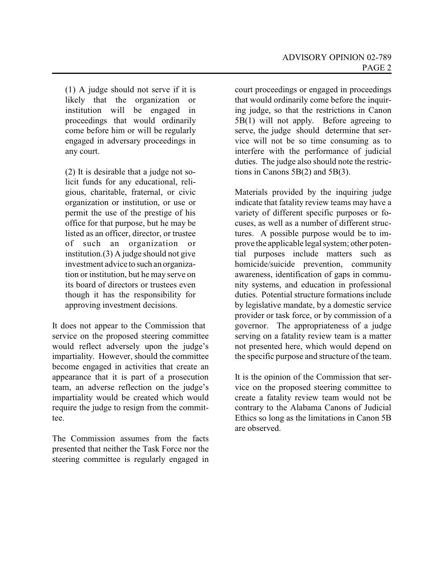(1) A judge should not serve if it is likely that the organization or institution will be engaged in proceedings that would ordinarily come before him or will be regularly engaged in adversary proceedings in any court.

(2) It is desirable that a judge not solicit funds for any educational, religious, charitable, fraternal, or civic organization or institution, or use or permit the use of the prestige of his office for that purpose, but he may be listed as an officer, director, or trustee of such an organization or institution.(3) A judge should not give investment advice to such an organization or institution, but he may serve on its board of directors or trustees even though it has the responsibility for approving investment decisions.

It does not appear to the Commission that service on the proposed steering committee would reflect adversely upon the judge's impartiality. However, should the committee become engaged in activities that create an appearance that it is part of a prosecution team, an adverse reflection on the judge's impartiality would be created which would require the judge to resign from the committee.

The Commission assumes from the facts presented that neither the Task Force nor the steering committee is regularly engaged in court proceedings or engaged in proceedings that would ordinarily come before the inquiring judge, so that the restrictions in Canon 5B(1) will not apply. Before agreeing to serve, the judge should determine that service will not be so time consuming as to interfere with the performance of judicial duties. The judge also should note the restrictions in Canons 5B(2) and 5B(3).

Materials provided by the inquiring judge indicate that fatality review teams may have a variety of different specific purposes or focuses, as well as a number of different structures. A possible purpose would be to improve the applicable legal system; other potential purposes include matters such as homicide/suicide prevention, community awareness, identification of gaps in community systems, and education in professional duties. Potential structure formations include by legislative mandate, by a domestic service provider or task force, or by commission of a governor. The appropriateness of a judge serving on a fatality review team is a matter not presented here, which would depend on the specific purpose and structure of the team.

It is the opinion of the Commission that service on the proposed steering committee to create a fatality review team would not be contrary to the Alabama Canons of Judicial Ethics so long as the limitations in Canon 5B are observed.